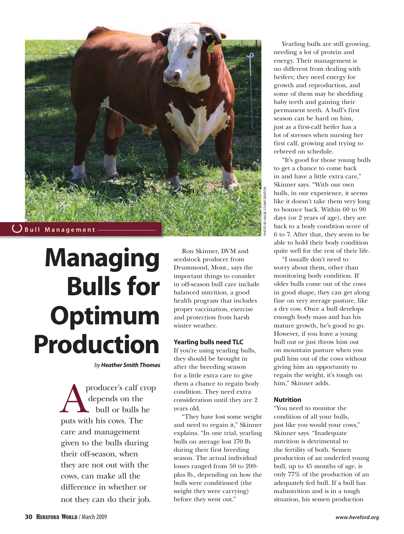

# **Managing Bulls for Optimum Production**

*by Heather Smith Thomas*

producer's calf crop depends on the bull or bulls he puts with his cows. The care and management given to the bulls during their off-season, when they are not out with the cows, can make all the difference in whether or not they can do their job.

Ron Skinner, DVM and seedstock producer from Drummond, Mont., says the important things to consider in off-season bull care include balanced nutrition, a good health program that includes proper vaccination, exercise and protection from harsh winter weather.

# **Yearling bulls need TLC**

If you're using yearling bulls, they should be brought in after the breeding season for a little extra care to give them a chance to regain body condition. They need extra consideration until they are 2 years old.

"They have lost some weight and need to regain it," Skinner explains. "In one trial, yearling bulls on average lost 170 lb. during their first breeding season. The actual individual losses ranged from 50 to 200 plus lb., depending on how the bulls were conditioned (the weight they were carrying) before they went out."

Yearling bulls are still growing, needing a lot of protein and energy. Their management is no different from dealing with heifers; they need energy for growth and reproduction, and some of them may be shedding baby teeth and gaining their permanent teeth. A bull's first season can be hard on him, just as a first-calf heifer has a lot of stresses when nursing her first calf, growing and trying to rebreed on schedule.

"It's good for those young bulls to get a chance to come back in and have a little extra care," Skinner says. "With our own bulls, in our experience, it seems like it doesn't take them very long to bounce back. Within 60 to 90 days (or 2 years of age), they are back to a body condition score of 6 to 7. After that, they seem to be able to hold their body condition quite well for the rest of their life.

"I usually don't need to worry about them, other than monitoring body condition. If older bulls come out of the cows in good shape, they can get along fine on very average pasture, like a dry cow. Once a bull develops enough body mass and has his mature growth, he's good to go. However, if you leave a young bull out or just throw him out on mountain pasture when you pull him out of the cows without giving him an opportunity to regain the weight, it's tough on him," Skinner adds.

# **Nutrition**

"You need to monitor the condition of all your bulls, just like you would your cows," Skinner says. "Inadequate nutrition is detrimental to the fertility of both. Semen production of an underfed young bull, up to 45 months of age, is only 77% of the production of an adequately fed bull. If a bull has malnutrition and is in a tough situation, his semen production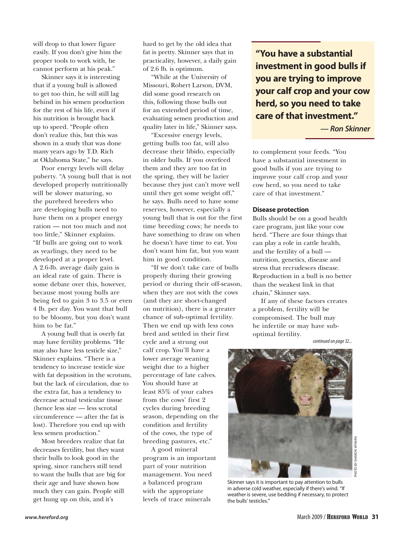will drop to that lower figure easily. If you don't give him the proper tools to work with, he cannot perform at his peak."

Skinner says it is interesting that if a young bull is allowed to get too thin, he will still lag behind in his semen production for the rest of his life, even if his nutrition is brought back up to speed. "People often don't realize this, but this was shown in a study that was done many years ago by T.D. Rich at Oklahoma State," he says.

Poor energy levels will delay puberty. "A young bull that is not developed properly nutritionally will be slower maturing, so the purebred breeders who are developing bulls need to have them on a proper energy ration — not too much and not too little," Skinner explains. "If bulls are going out to work as yearlings, they need to be developed at a proper level. A 2.6-lb. average daily gain is an ideal rate of gain. There is some debate over this, however, because most young bulls are being fed to gain 3 to 3.5 or even 4 lb. per day. You want that bull to be bloomy, but you don't want him to be fat."

A young bull that is overly fat may have fertility problems. "He may also have less testicle size," Skinner explains. "There is a tendency to increase testicle size with fat deposition in the scrotum, but the lack of circulation, due to the extra fat, has a tendency to decrease actual testicular tissue (hence less size — less scrotal circumference — after the fat is lost). Therefore you end up with less semen production."

Most breeders realize that fat decreases fertility, but they want their bulls to look good in the spring, since ranchers still tend to want the bulls that are big for their age and have shown how much they can gain. People still get hung up on this, and it's

hard to get by the old idea that fat is pretty. Skinner says that in practicality, however, a daily gain of 2.6 lb. is optimum.

"While at the University of Missouri, Robert Larson, DVM, did some good research on this, following those bulls out for an extended period of time, evaluating semen production and quality later in life," Skinner says.

"Excessive energy levels, getting bulls too fat, will also decrease their libido, especially in older bulls. If you overfeed them and they are too fat in the spring, they will be lazier because they just can't move well until they get some weight off," he says. Bulls need to have some reserves, however, especially a young bull that is out for the first time breeding cows; he needs to have something to draw on when he doesn't have time to eat. You don't want him fat, but you want him in good condition.

"If we don't take care of bulls properly during their growing period or during their off-season, when they are not with the cows (and they are short-changed on nutrition), there is a greater chance of sub-optimal fertility. Then we end up with less cows bred and settled in their first

cycle and a strung out calf crop. You'll have a lower average weaning weight due to a higher percentage of late calves. You should have at least 85% of your calves from the cows' first 2 cycles during breeding season, depending on the condition and fertility of the cows, the type of breeding pastures, etc."

A good mineral program is an important part of your nutrition management. You need a balanced program with the appropriate levels of trace minerals

**"You have a substantial investment in good bulls if you are trying to improve your calf crop and your cow herd, so you need to take care of that investment."**

*— Ron Skinner*

to complement your feeds. "You have a substantial investment in good bulls if you are trying to improve your calf crop and your cow herd, so you need to take care of that investment."

### **Disease protection**

Bulls should be on a good health care program, just like your cow herd. "There are four things that can play a role in cattle health, and the fertility of a bull nutrition, genetics, disease and stress that recrudesces disease. Reproduction in a bull is no better than the weakest link in that chain," Skinner says.

If any of these factors creates a problem, fertility will be compromised. The bull may be infertile or may have suboptimal fertility.

*continued on page 32...*



Skinner says it is important to pay attention to bulls in adverse cold weather, especially if there's wind. "If weather is severe, use bedding if necessary, to protect the bulls' testicles."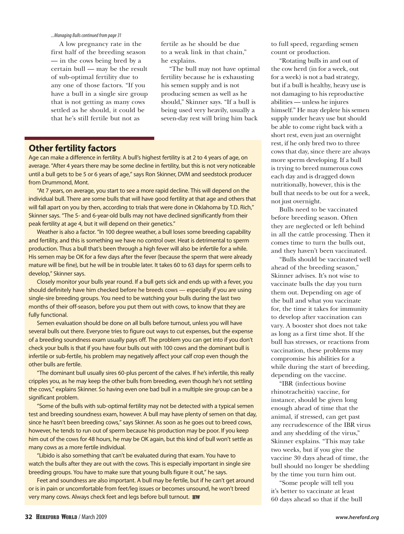#### *...Managing Bulls continued from page 31*

A low pregnancy rate in the first half of the breeding season — in the cows being bred by a certain bull — may be the result of sub-optimal fertility due to any one of those factors. "If you have a bull in a single sire group that is not getting as many cows settled as he should, it could be that he's still fertile but not as

fertile as he should be due to a weak link in that chain," he explains.

"The bull may not have optimal fertility because he is exhausting his semen supply and is not producing semen as well as he should," Skinner says. "If a bull is being used very heavily, usually a seven-day rest will bring him back

# **Other fertility factors**

Age can make a difference in fertility. A bull's highest fertility is at 2 to 4 years of age, on average. "After 4 years there may be some decline in fertility, but this is not very noticeable until a bull gets to be 5 or 6 years of age," says Ron Skinner, DVM and seedstock producer from Drummond, Mont.

"At 7 years, on average, you start to see a more rapid decline. This will depend on the individual bull. There are some bulls that will have good fertility at that age and others that will fall apart on you by then, according to trials that were done in Oklahoma by T.D. Rich," Skinner says. "The 5- and 6-year-old bulls may not have declined significantly from their peak fertility at age 4, but it will depend on their genetics."

Weather is also a factor. "In 100 degree weather, a bull loses some breeding capability and fertility, and this is something we have no control over. Heat is detrimental to sperm production. Thus a bull that's been through a high fever will also be infertile for a while. His semen may be OK for a few days after the fever (because the sperm that were already mature will be fine), but he will be in trouble later. It takes 60 to 63 days for sperm cells to develop," Skinner says.

Closely monitor your bulls year round. If a bull gets sick and ends up with a fever, you should definitely have him checked before he breeds cows — especially if you are using single-sire breeding groups. You need to be watching your bulls during the last two months of their off-season, before you put them out with cows, to know that they are fully functional.

Semen evaluation should be done on all bulls before turnout, unless you will have several bulls out there. Everyone tries to figure out ways to cut expenses, but the expense of a breeding soundness exam usually pays off. The problem you can get into if you don't check your bulls is that if you have four bulls out with 100 cows and the dominant bull is infertile or sub-fertile, his problem may negatively affect your calf crop even though the other bulls are fertile.

"The dominant bull usually sires 60-plus percent of the calves. If he's infertile, this really cripples you, as he may keep the other bulls from breeding, even though he's not settling the cows," explains Skinner. So having even one bad bull in a multiple sire group can be a significant problem.

"Some of the bulls with sub-optimal fertility may not be detected with a typical semen test and breeding soundness exam, however. A bull may have plenty of semen on that day, since he hasn't been breeding cows," says Skinner. As soon as he goes out to breed cows, however, he tends to run out of sperm because his production may be poor. If you keep him out of the cows for 48 hours, he may be OK again, but this kind of bull won't settle as many cows as a more fertile individual.

"Libido is also something that can't be evaluated during that exam. You have to watch the bulls after they are out with the cows. This is especially important in single sire breeding groups. You have to make sure that young bulls figure it out," he says.

Feet and soundness are also important. A bull may be fertile, but if he can't get around or is in pain or uncomfortable from feet/leg issues or becomes unsound, he won't breed very many cows. Always check feet and legs before bull turnout. HW

to full speed, regarding semen count or production.

"Rotating bulls in and out of the cow herd (in for a week, out for a week) is not a bad strategy, but if a bull is healthy, heavy use is not damaging to his reproductive abilities — unless he injures himself." He may deplete his semen supply under heavy use but should be able to come right back with a short rest, even just an overnight rest, if he only bred two to three cows that day, since there are always more sperm developing. If a bull is trying to breed numerous cows each day and is dragged down nutritionally, however, this is the bull that needs to be out for a week, not just overnight.

Bulls need to be vaccinated before breeding season. Often they are neglected or left behind in all the cattle processing. Then it comes time to turn the bulls out, and they haven't been vaccinated.

"Bulls should be vaccinated well ahead of the breeding season," Skinner advises. It's not wise to vaccinate bulls the day you turn them out. Depending on age of the bull and what you vaccinate for, the time it takes for immunity to develop after vaccination can vary. A booster shot does not take as long as a first time shot. If the bull has stresses, or reactions from vaccination, these problems may compromise his abilities for a while during the start of breeding, depending on the vaccine.

"IBR (infectious bovine rhinotracheitis) vaccine, for instance, should be given long enough ahead of time that the animal, if stressed, can get past any recrudescence of the IBR virus and any shedding of the virus," Skinner explains. "This may take two weeks, but if you give the vaccine 30 days ahead of time, the bull should no longer be shedding by the time you turn him out.

"Some people will tell you it's better to vaccinate at least 60 days ahead so that if the bull